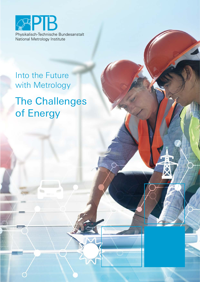

# Into the Future with Metrology

# The Challenges of Energy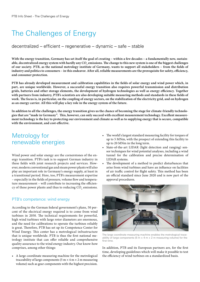# The Challenges of Energy

decentralized – efficient – regenerative – dynamic – safe – stable

With the energy transition, Germany has set itself the goal of creating – within a few decades – a fundamentally new, sustainable, decentralized energy system with hardly any CO<sub>2</sub> emissions. The change to this new system is one of the biggest challenges **of our society. PTB, as the national metrology institute of Germany, wants to support all stakeholders – from the fields of industry and politics to consumers – in this endeavor. After all, reliable measurements are the prerequisite for safety, efficiency, and consumer protection.**

**PTB has already developed measurement and calibration capabilities in the fields of solar energy and wind power which, in part, are unique worldwide. However, a successful energy transition also requires powerful transmission and distribution grids, batteries and other storage elements, the development of hydrogen technologies as well as energy efficiency. Together with partners from industry, PTB's scientists are also developing suitable measuring methods and standards in these fields of work. The focus is, in particular, on the coupling of energy sectors, on the stabilization of the electricity grid, and on hydrogen as an energy carrier. All this will play a key role in the energy system of the future.**

**In addition to all the challenges, the energy transition gives us the chance of becoming the stage for climate-friendly technologies that are "made in Germany". This, however, can only succeed with excellent measurement technology. Excellent measurement technology is the key to protecting our environment and climate as well as to supplying energy that is secure, compatible with the environment, and cost-effective.**

## Metrology for renewable energies

Wind power and solar energy are the cornerstones of the energy transition. PTB's task is to support German industry in these fields with joint research projects and services. However, modern conventional gas and steam power plants will also play an important role in Germany's energy supply, at least in a transitional period. Here, too, PTB's measurement expertise – especially in the fields of pressure, volume flow and temperature measurement – will contribute to increasing the efficiency of these power plants and thus to reducing  $\mathrm{CO}_\mathrm{2}$  emissions.

#### PTB's competence: wind energy

According to the German federal government's plans, 50 percent of the electrical energy required is to come from wind turbines in 2050. The technical requirements for powerful, high wind turbines with large rotor diameters are enormous, and the need for calibrations to operate the turbines reliably is great. Therefore, PTB has set up its Competence Center for Wind Energy. This center has a metrological infrastructure that is unique worldwide. PTB is thus the first national metrology institute that can offer reliable and comprehensive quality assurance to the wind energy industry. Our know-how comprises, among other things:

• A large coordinate measuring machine for the metrological traceability of large components (5 m  $\times$  4 m  $\times$  2 m measuring volume) such as gear components with the highest precision.

- The world's largest standard measuring facility for torques of up to 5 MNm, with the prospect of extending this facility to up to 20 MNm in the long term.
- State-of-the-art LIDAR (light detection and ranging) sensor techniques for wind potential analyses, including a wind tunnel for the calibration and precise determination of LIDAR systems.
- The development of a method to predict disturbances that arise from wind turbines and have an influence on facilities of air traffic control for flight safety. This method has been an official standard since June 2020 and is now part of the approval procedures.



The large coordinate measuring machine enables the metrological traceability of large components (5 m  $\times$  4 m  $\times$  2 m measuring volume) for the first time.

In addition, PTB and its European partners are, for the first time, developing guidelines which will make it possible to test the efficiency of wind turbines on a standardized basis.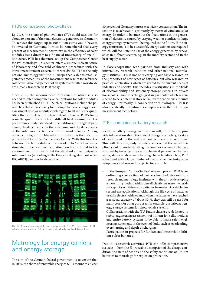#### PTB's competence: photovoltaics

By 2035, the share of photovoltaics (PV) could account for about 20 percent of the total electricity generated in Germany. To achieve this target, up to 100 billion euros would have to be invested in Germany. It must be remembered that every percent of measurement uncertainty in the efficiency of solar modules leads directly to a financial uncertainty of one billion euros. PTB has therefore set up the Competence Center for PV Metrology. This center offers a unique infrastructure of laboratory and free-field calibration procedures with the lowest measurement uncertainties worldwide. PTB is the only national metrology institute in Europe that is able to establish primary traceability of the measurement results for reference solar cells. About 50 percent of all systems installed worldwide are already traceable to PTB today.

Since 2019, the measurement infrastructure which is also needed to offer comprehensive calibrations for solar modules has been established at PTB. Such calibrations include the parameters that are necessary for a comprehensive, energy-based assessment of solar modules with regard to all influence quantities that are relevant to their output. Thereby, PTB's focus is on the quantities which are difficult to determine, i.e.: the performance under standard test conditions; the angle dependence; the dependence on the spectrum; and the dependence of the solar module temperature on wind velocity. Among other facilities, an LED-based sun simulator is the most important facility of the Competence Center. With this tool, the behavior of solar modules with a size of up to  $2 \text{ m} \times 1 \text{ m}$  can be simulated under various irradiation conditions found in the environment. This means that the standard annual output of solar modules (according to the Energy Rating Standard series IEC 61853) can now be determined.



The LED-based sun simulator is equipped with 16,320 high-power LEDs which are available in 18 different, individually controllable colors.

## Metrology for energy carriers and energy storage

The aim of the German federal government is to ensure that in 2050, the share of renewable energies will amount to at least 80 percent of Germany's gross electricity consumption. The intention is to achieve this primarily by means of wind and solar energy. In order to balance out the fluctuations in the generation of electricity caused by varying weather conditions, large energy storage systems will be required in the future. If the energy transition is to be successful, energy carriers are required which will facilitate the use of the energy generated by renewables in different sectors, e.g. in the mobility sector and in the heat supply sector.

In close cooperation with partners from industry and with universities, research institutes and other national metrology institutes, PTB is not only carrying out basic research on the properties of new types of batteries, but also research on practical applications which are geared to the current needs of industry and society. This includes investigations in the fields of electromobility and stationary storage systems in private households. Since it is the gas grid in particular which is considered to be a potential storage facility for enormous amounts of energy – primarily in connection with hydrogen – PTB is also specifically extending its competence in the field of gas measurement technology.

#### PTB's competence: battery research

Ideally, a battery management system will, in the future, provide information about the state of charge of a battery, its state of health and its thermal load under operating conditions. This will, however, only be safely achieved if the interdisciplinary task of understanding the complex system of a battery is solved by investigating electrochemical parameters, battery aging, state variables and charging characteristics. Here, PTB is involved with a large number of measurement technique developments and research projects, for example:

- In the European "LiBforSecUse" research project, PTB is coordinating a consortium of partners from industry and from research and metrology institutes with the aim of developing a measuring method which can efficiently measure the residual capacity of lithium-ion batteries from electric vehicles for second-use applications. Although the life cycle of batteries used in electric vehicles ends when the batteries have reached a residual capacity of about 80 %, they can still be used for many years for other purposes, for example, as stationary energy storage systems for photovoltaic systems.
- Collaborations with the TU Braunschweig are dedicated to safety-engineering assessments of lithium-ion cells, modules and entire battery systems to be able to make safety-engineering statements in the event of faults such as overloading, overcharging and depth discharging.
- Participation in projects for fundamental research on lithium-sulfur batteries.

Due to its research activities, PTB can offer comprehensive services – from the SI-traceable description of the charge condition, the state of health and the safety conditions of lithium batteries to metrology for explosion protection.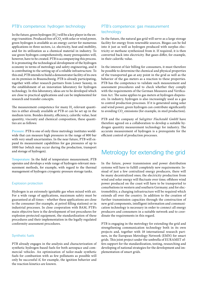#### PTB's competence: hydrogen technology

In the future, green hydrogen  $\rm(H_{2})$  will be a key player in the energy transition. Produced free of  $\mathrm{CO}_\mathrm{2}$  with solar or wind power, green hydrogen is available as an energy carrier for numerous applications in three sectors, i.e. electricity, heat and mobility, and for its utilization as a chemical material in industry. To use green hydrogen comprehensively, many prerequisites will, however, have to be created. PTB is accompanying this process. It is promoting the technological development of the hydrogen economy in terms of metrology and safety engineering, and it is contributing to the setting up of a reliable infrastructure. To this end, PTB intends to build a demonstrator facility of its own on its premises in Braunschweig. PTB is already participating, together with other research partners from Lower Saxony, in the establishment of an innovation laboratory for hydrogen technology. In this laboratory, ideas are to be developed which are close to practical applications and can be implemented for research and transfer concepts.

The measurement competence for many  $\rm{H}_{2}$ -relevant quantities is either already available at PTB or can be set up in the medium term. Besides density, efficiency, calorific value, heat quantity, viscosity and chemical composition, these quantities are as follows:

Pressure: PTB is one of only three metrology institutes worldwide that can measure high pressures in the range of 800 bar with very small uncertainties. In the near future, PTB will expand its measurement capabilities for gas pressures of up to 1000 bar (which may occur during the production, transport and storage of hydrogen).

Temperature: In the field of temperature measurement, PTB operates and develops a wide range of hydrogen-relevant measurement methods, for example, with regard to the thermal management of hydrogen cryogenic-pressure storage tanks.

#### Explosion protection

Hydrogen is an extremely ignitable gas when mixed with air. For a wide range of applications, maximum safety must be guaranteed at all times – whether these applications are close to the consumer (for example, at petrol filling stations) or in industrial processes. In close cooperation with BAM, PTB's main objective here is the development of test procedures for explosion-protected equipment, the standardization of these procedures and their implementation in the legally regulated conformity assessment procedures.

#### Synthetic fuels

PTB already engages in the analysis and characterization of synthetic hydrogen-based fuels for both aerospace and commercial vehicles. An optimization of tailor-made synthetic fuels for combustion with as few pollutants as possible will only be successful if, for example, the ignition behavior and the reaction kinetics are known.

#### PTB's competence: gas measurement technology

In the future, the natural gas grid will serve as a large storage facility for energy from renewable sources. Biogas can be fed into it just as well as hydrogen produced with surplus electricity or methane synthesized from it. If required, it is then converted back into electricity. But gases differ, for example, in their calorific value.

In the interest of fair billing for consumers, it must therefore be possible to determine the chemical and physical properties of the transported gas at any point in the grid as well as the behavior of the gas meters as a reaction to these properties. PTB has the competence to validate such measurement and assessment procedures and to check whether they comply with the requirements of the German Measures and Verification Act. The same applies to gas meters at hydrogen dispensers. In industry, hydrogen is also increasingly used as a gas to control production processes. If it is generated using solar and wind power, green hydrogen can contribute significantly to avoiding  $\mathrm{CO}_\mathrm{2}$  emissions (for example, in steel production).

PTB and the company of *Salzgitter Flachstahl GmbH* have therefore agreed on a collaboration to develop a suitable hydrogen quantity measurement technology for industry. The accurate measurement of hydrogen is a prerequisite for the efficient control of production processes.

### Metrology for extending the grid

In the future, power transmission and power distribution systems will have to fulfill completely new requirements: Instead of just a few centralized energy producers, there will be many decentralized ones; the electricity production from wind and solar energy will fluctuate over time; offshore wind power produced on the coast will have to be transported to conurbations in western and southern Germany; and for electromobility, a charging infrastructure will be required which extends all over the country. In addition to the creation of further transmission capacities through the construction of new grid components, intelligent information and communication technology is necessary in order to connect all energy producers and consumers in a suitable network and to coordinate the requirements in this regard.

PTB is engaging in the metrology for extending the grid and strengthening communication technology both in its own projects and, together with 18 international research partners, in the European Metrology Network (EMN) for smart grids. This joint project under the umbrella of EURAMET offers support for the standardization, testing, researching and developing of national strategies for the development and implementation of smart grids.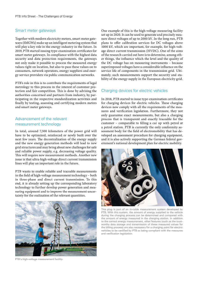#### Smart meter gateways

Together with modern electricity meters, smart meter gateways (SMGWs) make up an intelligent metering system that will play a key role in the energy industry in the future. In 2019, PTB started issuing type-examination certificates for smart meter gateways. In compliance with the highest data security and data protection requirements, the gateways not only make it possible to process the measured energy values right on location, but also to pass these values on to consumers, network operators, energy suppliers and energy service providers via public communication networks.

PTB's role in this is to contribute the requirements of legal metrology to this process in the interest of customer protection and fair competition. This is done by advising the authorities concerned and partners from industry, by participating in the respective standardization activities and finally by testing, assessing and certifying modern meters and smart meter gateways.

#### Advancement of the relevant measurement technology

In total, around 7,500 kilometers of the power grid will have to be optimized, reinforced or newly built over the next few years. The decentralization of the energy supply and the new energy generation methods will lead to new grid structures and may bring about new challenges for safe and reliable power supply, e.g. decreasing voltage quality. This will require new measurement methods. Another new issue is that ultra-high-voltage direct current transmission lines will play an important role in the future.

PTB wants to enable reliable and traceable measurements in the field of high-voltage measurement technology – both in three-phase and direct current transmission. To this end, it is already setting up the corresponding laboratory technology to further develop power generation and measuring equipment and to improve the measurement uncertainty for the realization of the relevant quantities.



PTB's high-voltage measurement facility.

One example of this is the high-voltage measuring facility set up in 2020. It can be used to generate and precisely measure direct voltages of up to 2000 kV. In the long run, PTB plans to offer calibration services for DC voltages above 1000 kV, which are important, for example, for high-voltage direct current transmission (HVDC). One of the aims of the research carried out here is to determine, among other things, the influence which the level and the quality of the DC voltage has on measuring instruments – because superimposed voltages have a considerable influence on the service life of components in the transmission grid. Ultimately, such measurements support the security and stability of the energy supply in the European electricity grid.

#### Charging devices for electric vehicles

In 2018, PTB started to issue type-examination certificates for charging devices for electric vehicles. These charging devices now comply with all the requirements of the measures and verification legislation. Furthermore, they not only guarantee exact measurements, but also a charging process that is transparent and exactly traceable for the customer – comparable to filling a car up with petrol at a petrol station. PTB is currently the only conformity assessment body for the field of electromobility that has developed an assessment procedure for charging equipment, and it is also actively supporting the German federal government's national development plan for electric mobility.



This plug is part of an in-cable measurement system developed by PTB. With this system, the amount of energy supplied to the vehicle during the charging process can be determined and compared with the amount of energy measured in the charging station. In addition to the correct energy measurement, other features (such as the trustworthy data storage and transmission of these measured values for the billing process) are also necessary for a charging point for electric vehicles to be certified by PTB as being compliant with the measures and verification legislation.